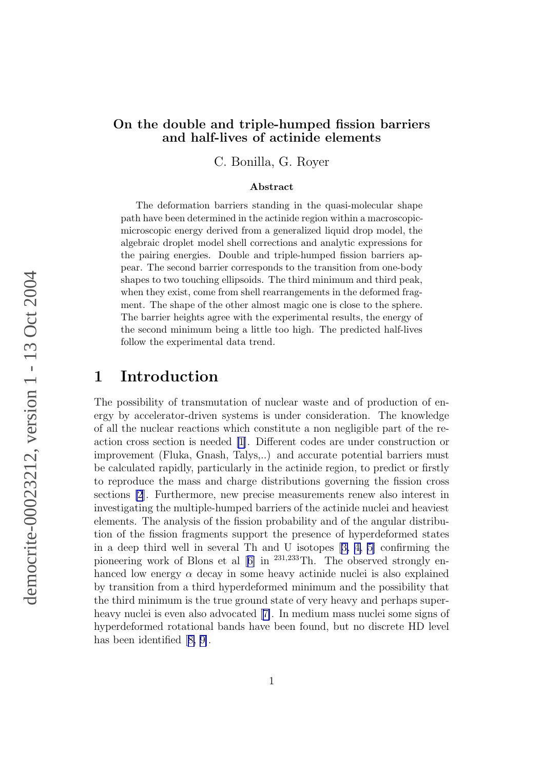#### On the double and triple-humped fission barriers and half-lives of actinide elements

C. Bonilla, G. Royer

#### Abstract

The deformation barriers standing in the quasi-molecular shape path have been determined in the actinide region within a macroscopicmicroscopic energy derived from a generalized liquid drop model, the algebraic droplet model shell corrections and analytic expressions for the pairing energies. Double and triple-humped fission barriers appear. The second barrier corresponds to the transition from one-body shapes to two touching ellipsoids. The third minimum and third peak, when they exist, come from shell rearrangements in the deformed fragment. The shape of the other almost magic one is close to the sphere. The barrier heights agree with the experimental results, the energy of the second minimum being a little too high. The predicted half-lives follow the experimental data trend.

#### 1 Introduction

The possibility of transmutation of nuclear waste and of production of energy by accelerator-driven systems is under consideration. The knowledge of all the nuclear reactions which constitute a non negligible part of the reaction cross section is needed [\[1](#page-19-0)]. Different codes are under construction or improvement (Fluka, Gnash, Talys,..) and accurate potential barriers must be calculated rapidly, particularly in the actinide region, to predict or firstly to reproduce the mass and charge distributions governing the fission cross sections [\[2](#page-19-0)]. Furthermore, new precise measurements renew also interest in investigating the multiple-humped barriers of the actinide nuclei and heaviest elements. The analysis of the fission probability and of the angular distribution of the fission fragments support the presence of hyperdeformed states in a deep third well in several Th and U isotopes[[3, 4, 5\]](#page-19-0) confirming the pioneeringwork of Blons et al  $[6]$  $[6]$  in <sup>231,233</sup>Th. The observed strongly enhanced low energy  $\alpha$  decay in some heavy actinide nuclei is also explained by transition from a third hyperdeformed minimum and the possibility that the third minimum is the true ground state of very heavy and perhaps superheavy nuclei is even also advocated[[7\]](#page-19-0). In medium mass nuclei some signs of hyperdeformed rotational bands have been found, but no discrete HD level has been identified[[8, 9\]](#page-19-0).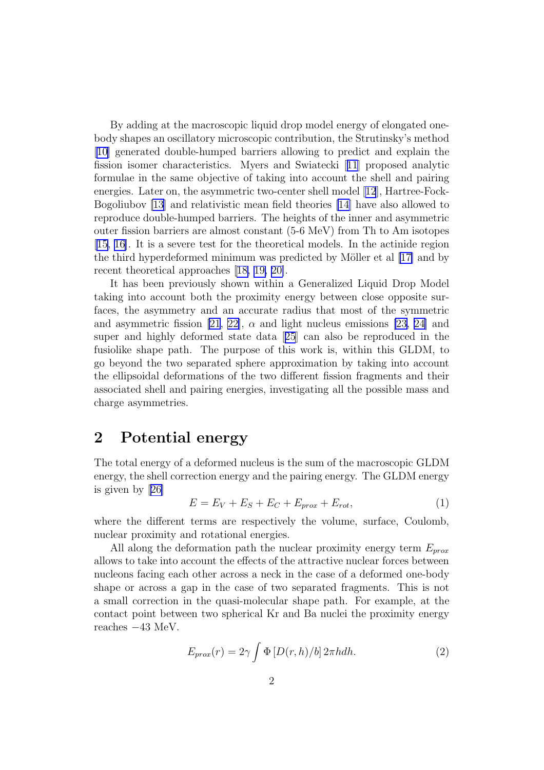By adding at the macroscopic liquid drop model energy of elongated onebody shapes an oscillatory microscopic contribution, the Strutinsky's method [\[10\]](#page-19-0) generated double-humped barriers allowing to predict and explain the fission isomer characteristics. Myers and Swiatecki[[11](#page-19-0)] proposed analytic formulae in the same objective of taking into account the shell and pairing energies. Later on, the asymmetric two-center shell model[[12](#page-19-0)], Hartree-Fock-Bogoliubov [\[13](#page-19-0)] and relativistic mean field theories [\[14\]](#page-19-0) have also allowed to reproduce double-humped barriers. The heights of the inner and asymmetric outer fission barriers are almost constant (5-6 MeV) from Th to Am isotopes [\[15, 16\]](#page-20-0). It is a severe test for the theoretical models. In the actinide region the third hyperdeformed minimum was predicted by Möller et al [\[17\]](#page-20-0) and by recent theoretical approaches[[18, 19, 20\]](#page-20-0).

It has been previously shown within a Generalized Liquid Drop Model taking into account both the proximity energy between close opposite surfaces, the asymmetry and an accurate radius that most of the symmetric and asymmetric fission [\[21, 22\]](#page-20-0),  $\alpha$  and light nucleus emissions [\[23, 24\]](#page-20-0) and super and highly deformed state data[[25](#page-20-0)] can also be reproduced in the fusiolike shape path. The purpose of this work is, within this GLDM, to go beyond the two separated sphere approximation by taking into account the ellipsoidal deformations of the two different fission fragments and their associated shell and pairing energies, investigating all the possible mass and charge asymmetries.

### 2 Potential energy

The total energy of a deformed nucleus is the sum of the macroscopic GLDM energy, the shell correction energy and the pairing energy. The GLDM energy is given by[[26\]](#page-20-0)

$$
E = E_V + E_S + E_C + E_{prox} + E_{rot}, \t\t(1)
$$

where the different terms are respectively the volume, surface, Coulomb, nuclear proximity and rotational energies.

All along the deformation path the nuclear proximity energy term  $E_{prox}$ allows to take into account the effects of the attractive nuclear forces between nucleons facing each other across a neck in the case of a deformed one-body shape or across a gap in the case of two separated fragments. This is not a small correction in the quasi-molecular shape path. For example, at the contact point between two spherical Kr and Ba nuclei the proximity energy reaches −43 MeV.

$$
E_{prox}(r) = 2\gamma \int \Phi \left[ D(r, h)/b \right] 2\pi h dh. \tag{2}
$$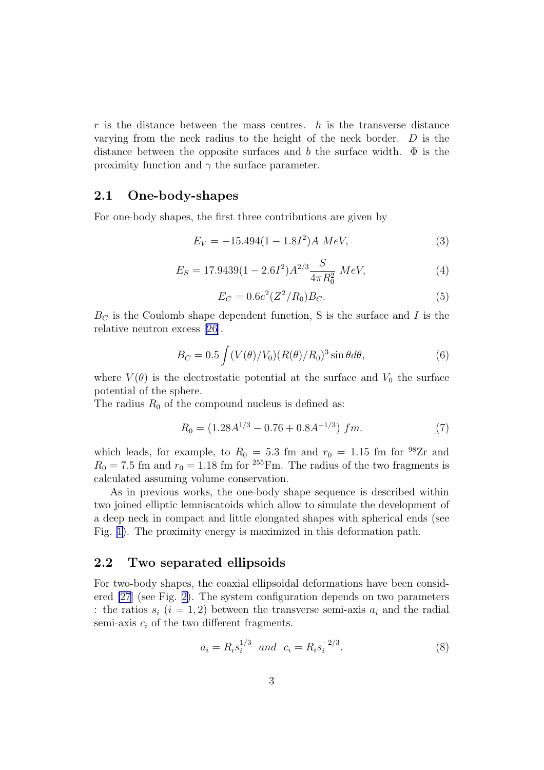$r$  is the distance between the mass centres.  $h$  is the transverse distance varying from the neck radius to the height of the neck border.  $D$  is the distance between the opposite surfaces and b the surface width.  $\Phi$  is the proximity function and  $\gamma$  the surface parameter.

#### 2.1 One-body-shapes

For one-body shapes, the first three contributions are given by

$$
E_V = -15.494(1 - 1.8I^2)A\ MeV,\tag{3}
$$

$$
E_S = 17.9439(1 - 2.6I^2)A^{2/3}\frac{S}{4\pi R_0^2} \; MeV,\tag{4}
$$

$$
E_C = 0.6e^2(Z^2/R_0)B_C.
$$
\n(5)

 $B<sub>C</sub>$  is the Coulomb shape dependent function, S is the surface and I is the relative neutron excess [\[26\]](#page-20-0).

$$
B_C = 0.5 \int (V(\theta)/V_0) (R(\theta)/R_0)^3 \sin \theta d\theta, \qquad (6)
$$

where  $V(\theta)$  is the electrostatic potential at the surface and  $V_0$  the surface potential of the sphere.

The radius  $R_0$  of the compound nucleus is defined as:

$$
R_0 = (1.28A^{1/3} - 0.76 + 0.8A^{-1/3}) fm.
$$
 (7)

which leads, for example, to  $R_0 = 5.3$  fm and  $r_0 = 1.15$  fm for <sup>98</sup>Zr and  $R_0 = 7.5$  fm and  $r_0 = 1.18$  fm for <sup>255</sup> Fm. The radius of the two fragments is calculated assuming volume conservation.

As in previous works, the one-body shape sequence is described within two joined elliptic lemniscatoids which allow to simulate the development of a deep neck in compact and little elongated shapes with spherical ends (see Fig. [1\)](#page-3-0). The proximity energy is maximized in this deformation path.

#### 2.2 Two separated ellipsoids

For two-body shapes, the coaxial ellipsoidal deformations have been considered [\[27](#page-20-0)] (see Fig. [2\)](#page-3-0). The system configuration depends on two parameters : the ratios  $s_i$   $(i = 1, 2)$  between the transverse semi-axis  $a_i$  and the radial semi-axis  $c_i$  of the two different fragments.

$$
a_i = R_i s_i^{1/3} \quad and \quad c_i = R_i s_i^{-2/3}.
$$
 (8)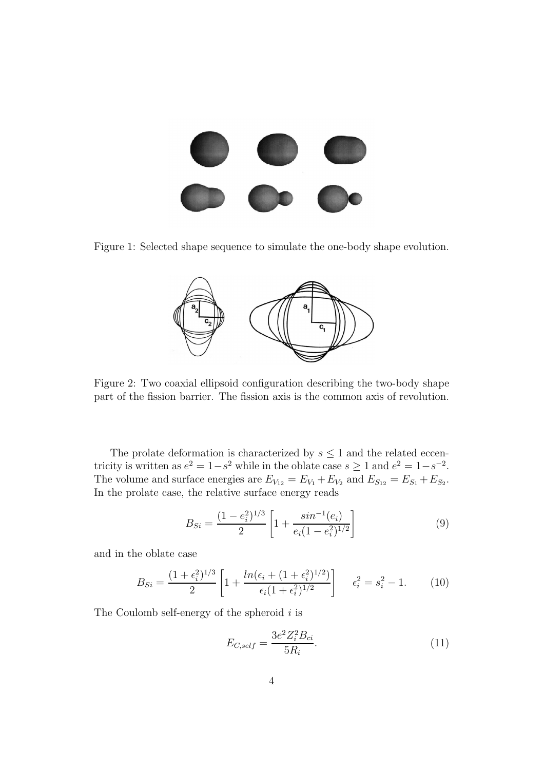<span id="page-3-0"></span>

Figure 1: Selected shape sequence to simulate the one-body shape evolution.



Figure 2: Two coaxial ellipsoid configuration describing the two-body shape part of the fission barrier. The fission axis is the common axis of revolution.

The prolate deformation is characterized by  $s \leq 1$  and the related eccentricity is written as  $e^2 = 1 - s^2$  while in the oblate case  $s \ge 1$  and  $e^2 = 1 - s^{-2}$ . The volume and surface energies are  $E_{V_{12}} = E_{V_1} + E_{V_2}$  and  $E_{S_{12}} = E_{S_1} + E_{S_2}$ . In the prolate case, the relative surface energy reads

$$
B_{Si} = \frac{(1 - e_i^2)^{1/3}}{2} \left[ 1 + \frac{\sin^{-1}(e_i)}{e_i (1 - e_i^2)^{1/2}} \right]
$$
(9)

and in the oblate case

$$
B_{Si} = \frac{(1 + \epsilon_i^2)^{1/3}}{2} \left[ 1 + \frac{\ln(\epsilon_i + (1 + \epsilon_i^2)^{1/2})}{\epsilon_i (1 + \epsilon_i^2)^{1/2}} \right] \quad \epsilon_i^2 = s_i^2 - 1. \tag{10}
$$

The Coulomb self-energy of the spheroid  $i$  is

$$
E_{C,self} = \frac{3e^2 Z_i^2 B_{ci}}{5R_i}.
$$
\n(11)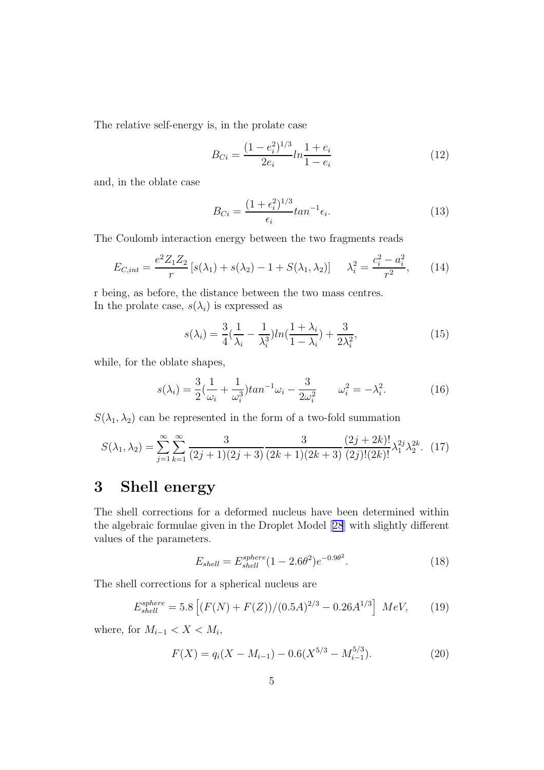The relative self-energy is, in the prolate case

$$
B_{Ci} = \frac{(1 - e_i^2)^{1/3}}{2e_i} ln \frac{1 + e_i}{1 - e_i}
$$
 (12)

and, in the oblate case

$$
B_{Ci} = \frac{(1 + \epsilon_i^2)^{1/3}}{\epsilon_i} \tan^{-1} \epsilon_i.
$$
 (13)

The Coulomb interaction energy between the two fragments reads

$$
E_{C,int} = \frac{e^2 Z_1 Z_2}{r} \left[ s(\lambda_1) + s(\lambda_2) - 1 + S(\lambda_1, \lambda_2) \right] \quad \lambda_i^2 = \frac{c_i^2 - a_i^2}{r^2},\tag{14}
$$

r being, as before, the distance between the two mass centres. In the prolate case,  $s(\lambda_i)$  is expressed as

$$
s(\lambda_i) = \frac{3}{4}(\frac{1}{\lambda_i} - \frac{1}{\lambda_i^3})ln(\frac{1+\lambda_i}{1-\lambda_i}) + \frac{3}{2\lambda_i^2},
$$
\n(15)

while, for the oblate shapes,

$$
s(\lambda_i) = \frac{3}{2}(\frac{1}{\omega_i} + \frac{1}{\omega_i^3})\tan^{-1}\omega_i - \frac{3}{2\omega_i^2} \qquad \omega_i^2 = -\lambda_i^2. \tag{16}
$$

 $S(\lambda_1, \lambda_2)$  can be represented in the form of a two-fold summation

$$
S(\lambda_1, \lambda_2) = \sum_{j=1}^{\infty} \sum_{k=1}^{\infty} \frac{3}{(2j+1)(2j+3)} \frac{3}{(2k+1)(2k+3)} \frac{(2j+2k)!}{(2j)!(2k)!} \lambda_1^{2j} \lambda_2^{2k}.
$$
 (17)

## 3 Shell energy

The shell corrections for a deformed nucleus have been determined within the algebraic formulae given in the Droplet Model[[28](#page-20-0)] with slightly different values of the parameters.

$$
E_{shell} = E_{shell}^{sphere} (1 - 2.6\theta^2) e^{-0.9\theta^2}.
$$
 (18)

The shell corrections for a spherical nucleus are

$$
E_{shell}^{sphere} = 5.8 \left[ (F(N) + F(Z)) / (0.5A)^{2/3} - 0.26A^{1/3} \right] \; MeV, \tag{19}
$$

where, for  $M_{i-1} < X < M_i$ ,

$$
F(X) = q_i(X - M_{i-1}) - 0.6(X^{5/3} - M_{i-1}^{5/3}).
$$
\n(20)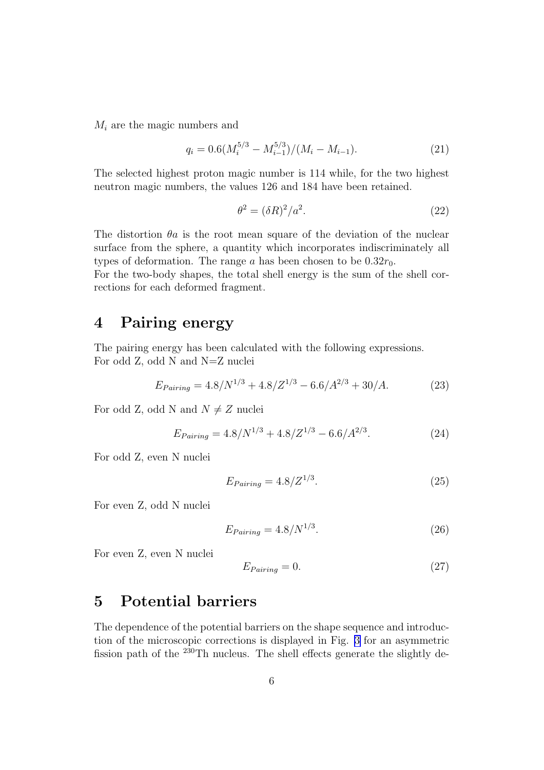$M_i$  are the magic numbers and

$$
q_i = 0.6(M_i^{5/3} - M_{i-1}^{5/3})/(M_i - M_{i-1}).
$$
\n(21)

The selected highest proton magic number is 114 while, for the two highest neutron magic numbers, the values 126 and 184 have been retained.

$$
\theta^2 = (\delta R)^2 / a^2. \tag{22}
$$

The distortion  $\theta$ a is the root mean square of the deviation of the nuclear surface from the sphere, a quantity which incorporates indiscriminately all types of deformation. The range a has been chosen to be  $0.32r_0$ .

For the two-body shapes, the total shell energy is the sum of the shell corrections for each deformed fragment.

#### 4 Pairing energy

The pairing energy has been calculated with the following expressions. For odd Z, odd N and N=Z nuclei

$$
E_{Pairing} = 4.8/N^{1/3} + 4.8/Z^{1/3} - 6.6/A^{2/3} + 30/A.
$$
 (23)

For odd Z, odd N and  $N \neq Z$  nuclei

$$
E_{Pairing} = 4.8/N^{1/3} + 4.8/Z^{1/3} - 6.6/A^{2/3}.
$$
 (24)

For odd Z, even N nuclei

$$
E_{Pairing} = 4.8/Z^{1/3}.\tag{25}
$$

For even Z, odd N nuclei

$$
E_{Pairing} = 4.8/N^{1/3}.\tag{26}
$$

For even Z, even N nuclei

$$
E_{Pairing} = 0.\t\t(27)
$$

### 5 Potential barriers

The dependence of the potential barriers on the shape sequence and introduction of the microscopic corrections is displayed in Fig. [3](#page-6-0) for an asymmetric fission path of the  $^{230}$ Th nucleus. The shell effects generate the slightly de-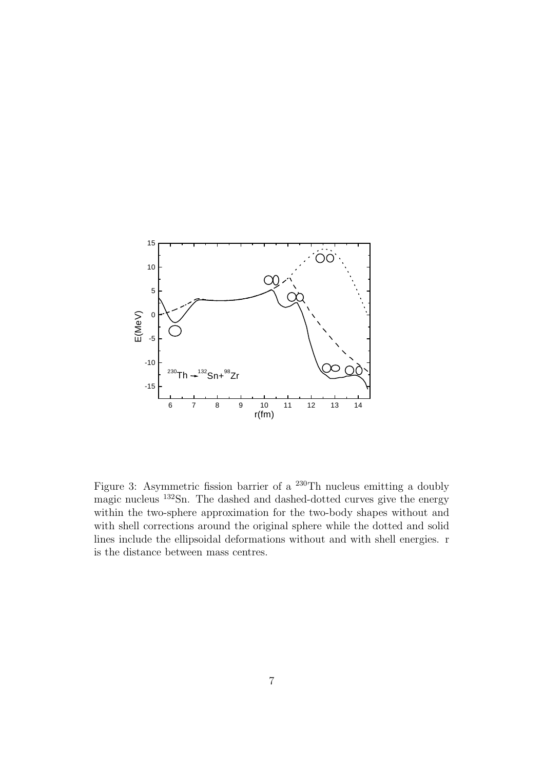<span id="page-6-0"></span>

Figure 3: Asymmetric fission barrier of a <sup>230</sup>Th nucleus emitting a doubly magic nucleus <sup>132</sup>Sn. The dashed and dashed-dotted curves give the energy within the two-sphere approximation for the two-body shapes without and with shell corrections around the original sphere while the dotted and solid lines include the ellipsoidal deformations without and with shell energies. r is the distance between mass centres.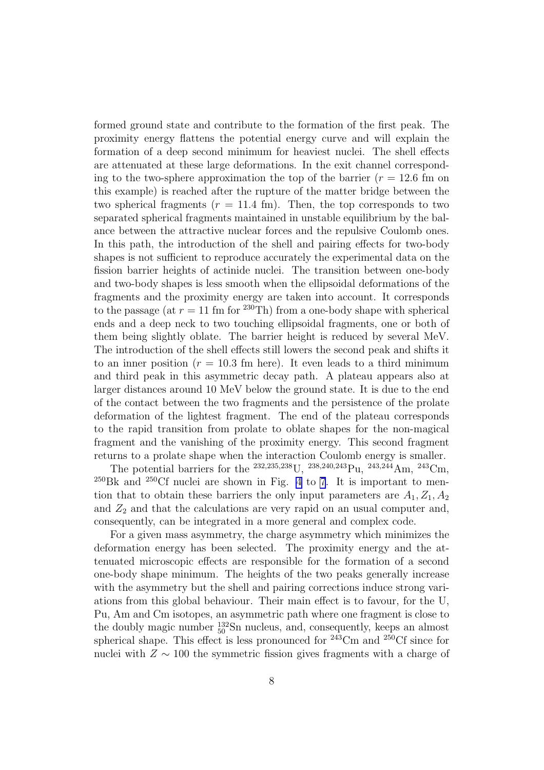formed ground state and contribute to the formation of the first peak. The proximity energy flattens the potential energy curve and will explain the formation of a deep second minimum for heaviest nuclei. The shell effects are attenuated at these large deformations. In the exit channel corresponding to the two-sphere approximation the top of the barrier ( $r = 12.6$  fm on this example) is reached after the rupture of the matter bridge between the two spherical fragments  $(r = 11.4 \text{ fm})$ . Then, the top corresponds to two separated spherical fragments maintained in unstable equilibrium by the balance between the attractive nuclear forces and the repulsive Coulomb ones. In this path, the introduction of the shell and pairing effects for two-body shapes is not sufficient to reproduce accurately the experimental data on the fission barrier heights of actinide nuclei. The transition between one-body and two-body shapes is less smooth when the ellipsoidal deformations of the fragments and the proximity energy are taken into account. It corresponds to the passage (at  $r = 11$  fm for <sup>230</sup>Th) from a one-body shape with spherical ends and a deep neck to two touching ellipsoidal fragments, one or both of them being slightly oblate. The barrier height is reduced by several MeV. The introduction of the shell effects still lowers the second peak and shifts it to an inner position ( $r = 10.3$  fm here). It even leads to a third minimum and third peak in this asymmetric decay path. A plateau appears also at larger distances around 10 MeV below the ground state. It is due to the end of the contact between the two fragments and the persistence of the prolate deformation of the lightest fragment. The end of the plateau corresponds to the rapid transition from prolate to oblate shapes for the non-magical fragment and the vanishing of the proximity energy. This second fragment returns to a prolate shape when the interaction Coulomb energy is smaller.

The potential barriers for the <sup>232,235,238</sup>U, <sup>238,240,243</sup>Pu, <sup>243,244</sup>Am, <sup>243</sup>Cm,  $^{250}$ Bk and  $^{250}$ Cf nuclei are shown in Fig. [4](#page-9-0) to [7](#page-12-0). It is important to mention that to obtain these barriers the only input parameters are  $A_1, Z_1, A_2$ and  $Z_2$  and that the calculations are very rapid on an usual computer and, consequently, can be integrated in a more general and complex code.

For a given mass asymmetry, the charge asymmetry which minimizes the deformation energy has been selected. The proximity energy and the attenuated microscopic effects are responsible for the formation of a second one-body shape minimum. The heights of the two peaks generally increase with the asymmetry but the shell and pairing corrections induce strong variations from this global behaviour. Their main effect is to favour, for the U, Pu, Am and Cm isotopes, an asymmetric path where one fragment is close to the doubly magic number  $_{50}^{132}$ Sn nucleus, and, consequently, keeps an almost spherical shape. This effect is less pronounced for  $^{243}$ Cm and  $^{250}$ Cf since for nuclei with  $Z \sim 100$  the symmetric fission gives fragments with a charge of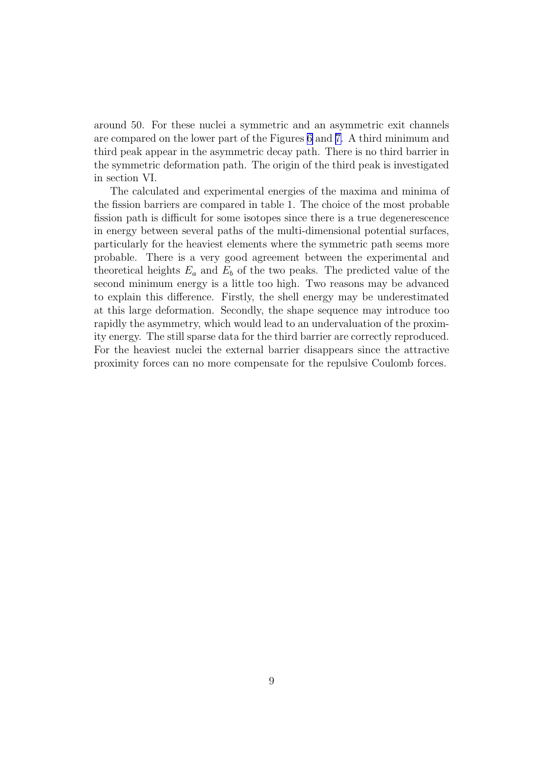around 50. For these nuclei a symmetric and an asymmetric exit channels are compared on the lower part of the Figures [6](#page-11-0) and [7.](#page-12-0) A third minimum and third peak appear in the asymmetric decay path. There is no third barrier in the symmetric deformation path. The origin of the third peak is investigated in section VI.

The calculated and experimental energies of the maxima and minima of the fission barriers are compared in table 1. The choice of the most probable fission path is difficult for some isotopes since there is a true degenerescence in energy between several paths of the multi-dimensional potential surfaces, particularly for the heaviest elements where the symmetric path seems more probable. There is a very good agreement between the experimental and theoretical heights  $E_a$  and  $E_b$  of the two peaks. The predicted value of the second minimum energy is a little too high. Two reasons may be advanced to explain this difference. Firstly, the shell energy may be underestimated at this large deformation. Secondly, the shape sequence may introduce too rapidly the asymmetry, which would lead to an undervaluation of the proximity energy. The still sparse data for the third barrier are correctly reproduced. For the heaviest nuclei the external barrier disappears since the attractive proximity forces can no more compensate for the repulsive Coulomb forces.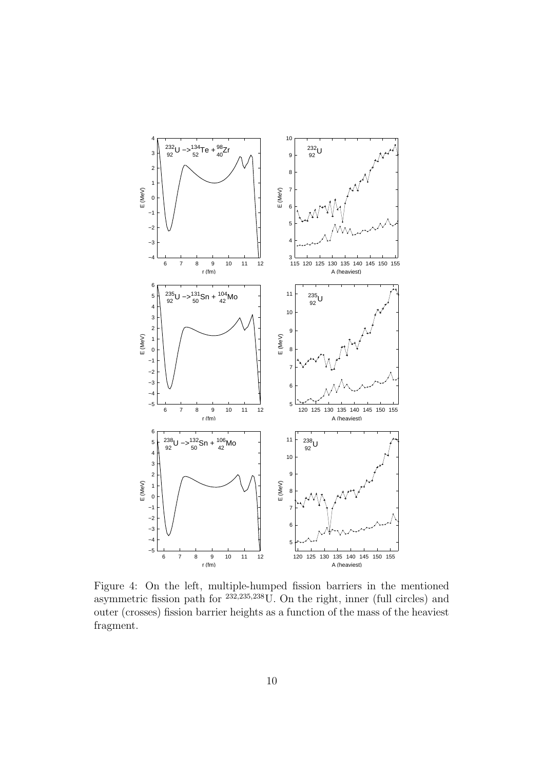<span id="page-9-0"></span>

Figure 4: On the left, multiple-humped fission barriers in the mentioned asymmetric fission path for <sup>232,235,238</sup>U. On the right, inner (full circles) and outer (crosses) fission barrier heights as a function of the mass of the heaviest fragment.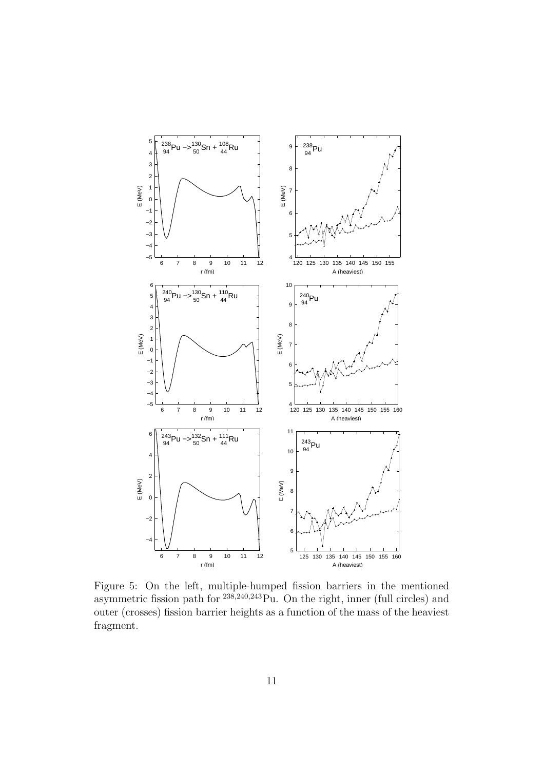

Figure 5: On the left, multiple-humped fission barriers in the mentioned asymmetric fission path for <sup>238,240,243</sup>Pu. On the right, inner (full circles) and outer (crosses) fission barrier heights as a function of the mass of the heaviest fragment.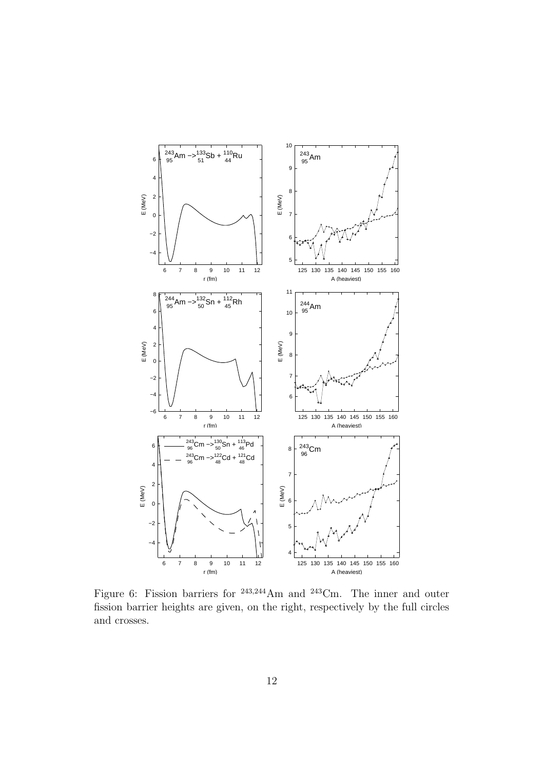<span id="page-11-0"></span>

Figure 6: Fission barriers for <sup>243</sup>,<sup>244</sup>Am and <sup>243</sup>Cm. The inner and outer fission barrier heights are given, on the right, respectively by the full circles and crosses.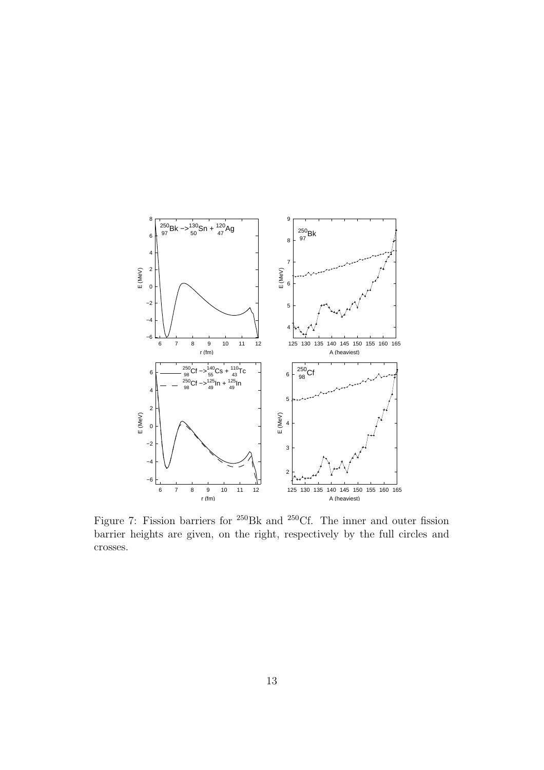<span id="page-12-0"></span>

Figure 7: Fission barriers for <sup>250</sup>Bk and <sup>250</sup>Cf. The inner and outer fission barrier heights are given, on the right, respectively by the full circles and crosses.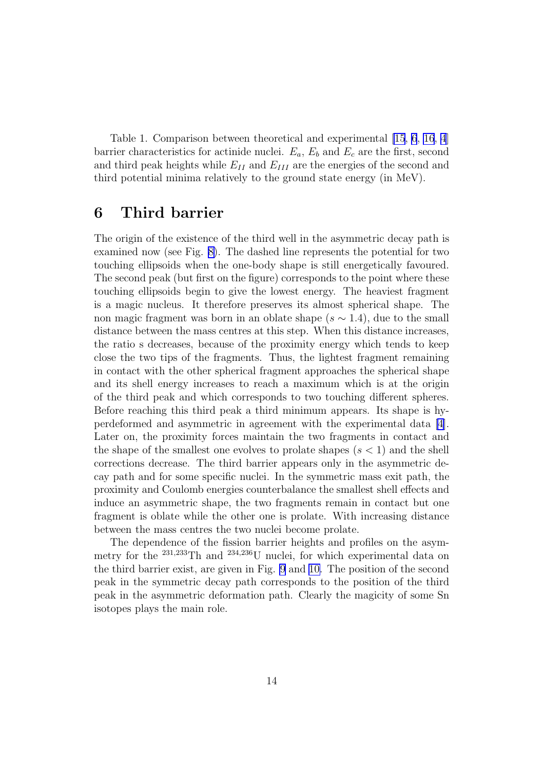Table 1. Comparison between theoretical and experimental [\[15](#page-20-0), [6](#page-19-0), [16](#page-20-0), [4](#page-19-0)] barrier characteristics for actinide nuclei.  $E_a$ ,  $E_b$  and  $E_c$  are the first, second and third peak heights while  $E_{II}$  and  $E_{III}$  are the energies of the second and third potential minima relatively to the ground state energy (in MeV).

#### 6 Third barrier

The origin of the existence of the third well in the asymmetric decay path is examined now (see Fig. [8\)](#page-14-0). The dashed line represents the potential for two touching ellipsoids when the one-body shape is still energetically favoured. The second peak (but first on the figure) corresponds to the point where these touching ellipsoids begin to give the lowest energy. The heaviest fragment is a magic nucleus. It therefore preserves its almost spherical shape. The non magic fragment was born in an oblate shape  $(s \sim 1.4)$ , due to the small distance between the mass centres at this step. When this distance increases, the ratio s decreases, because of the proximity energy which tends to keep close the two tips of the fragments. Thus, the lightest fragment remaining in contact with the other spherical fragment approaches the spherical shape and its shell energy increases to reach a maximum which is at the origin of the third peak and which corresponds to two touching different spheres. Before reaching this third peak a third minimum appears. Its shape is hyperdeformed and asymmetric in agreement with the experimental data [\[4\]](#page-19-0). Later on, the proximity forces maintain the two fragments in contact and the shape of the smallest one evolves to prolate shapes  $(s < 1)$  and the shell corrections decrease. The third barrier appears only in the asymmetric decay path and for some specific nuclei. In the symmetric mass exit path, the proximity and Coulomb energies counterbalance the smallest shell effects and induce an asymmetric shape, the two fragments remain in contact but one fragment is oblate while the other one is prolate. With increasing distance between the mass centres the two nuclei become prolate.

The dependence of the fission barrier heights and profiles on the asymmetry for the <sup>231</sup>,<sup>233</sup>Th and <sup>234</sup>,<sup>236</sup>U nuclei, for which experimental data on the third barrier exist, are given in Fig. [9](#page-15-0) and [10.](#page-16-0) The position of the second peak in the symmetric decay path corresponds to the position of the third peak in the asymmetric deformation path. Clearly the magicity of some Sn isotopes plays the main role.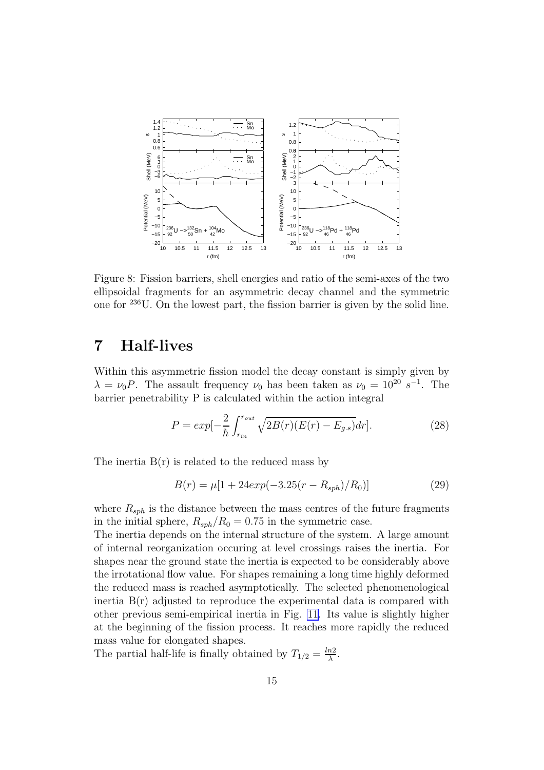<span id="page-14-0"></span>

Figure 8: Fission barriers, shell energies and ratio of the semi-axes of the two ellipsoidal fragments for an asymmetric decay channel and the symmetric one for <sup>236</sup>U. On the lowest part, the fission barrier is given by the solid line.

## 7 Half-lives

Within this asymmetric fission model the decay constant is simply given by  $\lambda = \nu_0 P$ . The assault frequency  $\nu_0$  has been taken as  $\nu_0 = 10^{20} s^{-1}$ . The barrier penetrability P is calculated within the action integral

$$
P = exp[-\frac{2}{\hbar} \int_{r_{in}}^{r_{out}} \sqrt{2B(r)(E(r) - E_{g.s})} dr].
$$
 (28)

The inertia  $B(r)$  is related to the reduced mass by

$$
B(r) = \mu[1 + 24exp(-3.25(r - R_{sph})/R_0)]
$$
\n(29)

where  $R_{sph}$  is the distance between the mass centres of the future fragments in the initial sphere,  $R_{sph}/R_0 = 0.75$  in the symmetric case.

The inertia depends on the internal structure of the system. A large amount of internal reorganization occuring at level crossings raises the inertia. For shapes near the ground state the inertia is expected to be considerably above the irrotational flow value. For shapes remaining a long time highly deformed the reduced mass is reached asymptotically. The selected phenomenological inertia  $B(r)$  adjusted to reproduce the experimental data is compared with other previous semi-empirical inertia in Fig. [11](#page-17-0). Its value is slightly higher at the beginning of the fission process. It reaches more rapidly the reduced mass value for elongated shapes.

The partial half-life is finally obtained by  $T_{1/2} = \frac{\ln 2}{\lambda}$  $\frac{n2}{\lambda}$ .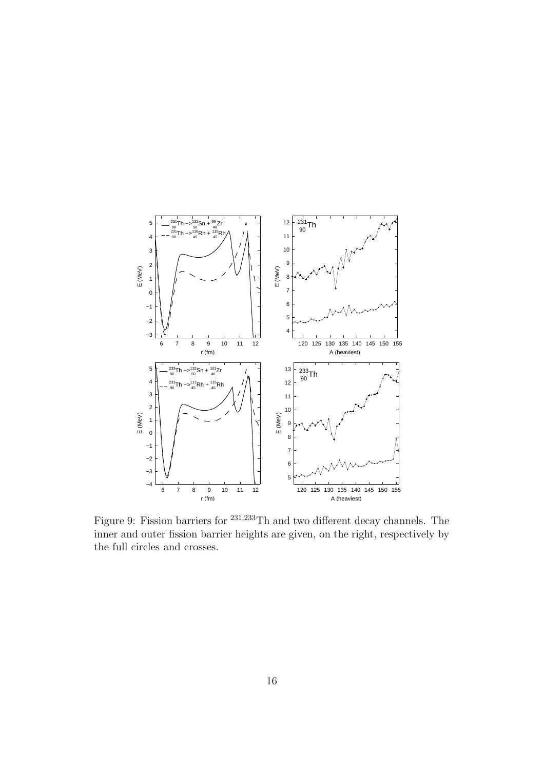<span id="page-15-0"></span>

Figure 9: Fission barriers for <sup>231</sup>,<sup>233</sup>Th and two different decay channels. The inner and outer fission barrier heights are given, on the right, respectively by the full circles and crosses.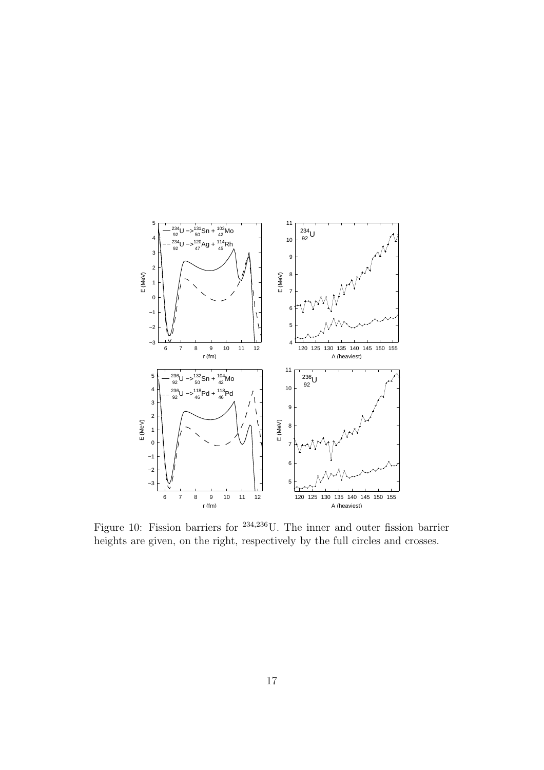<span id="page-16-0"></span>

Figure 10: Fission barriers for <sup>234</sup>,<sup>236</sup>U. The inner and outer fission barrier heights are given, on the right, respectively by the full circles and crosses.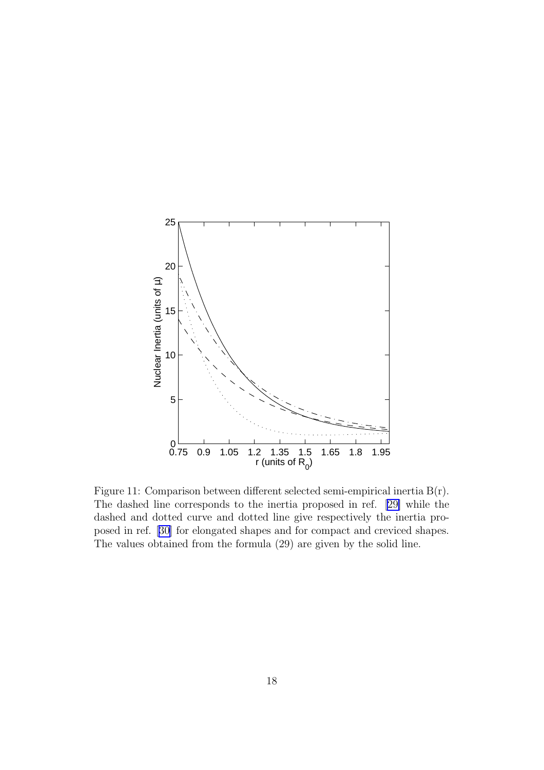<span id="page-17-0"></span>

Figure 11: Comparison between different selected semi-empirical inertia B(r). The dashed line corresponds to the inertia proposed in ref.[[29\]](#page-20-0) while the dashed and dotted curve and dotted line give respectively the inertia proposed in ref. [\[30\]](#page-20-0) for elongated shapes and for compact and creviced shapes. The values obtained from the formula (29) are given by the solid line.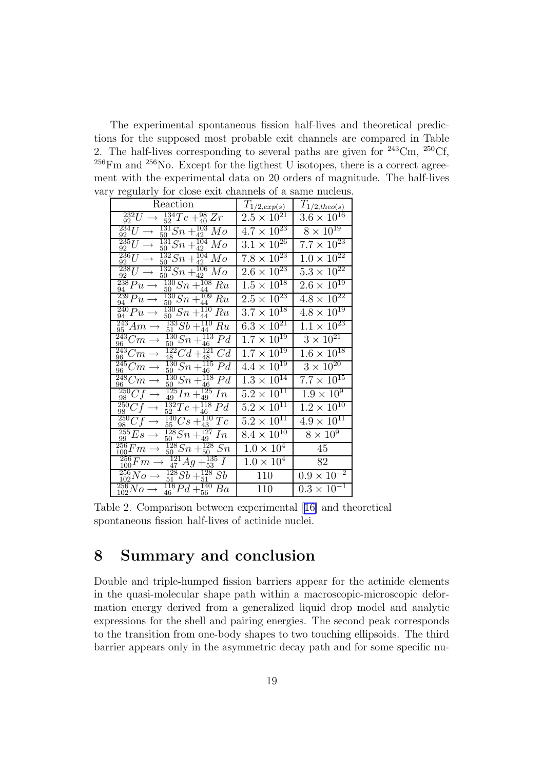The experimental spontaneous fission half-lives and theoretical predictions for the supposed most probable exit channels are compared in Table 2. The half-lives corresponding to several paths are given for  $243 \text{Cm}$ ,  $250 \text{Cf}$ ,  $^{256}$ Fm and  $^{256}$ No. Except for the ligthest U isotopes, there is a correct agreement with the experimental data on 20 orders of magnitude. The half-lives vary regularly for close exit channels of a same nucleus.

| $\checkmark$                                                                                             |                                 |                               |
|----------------------------------------------------------------------------------------------------------|---------------------------------|-------------------------------|
| Reaction                                                                                                 | $T_{\frac{1}{2},exp(s)}$        | $T_{1/2,theo(s)}$             |
| $\frac{232}{92}U$<br>$^{134}_{52}Te + ^{98}_{40}Zr$                                                      | $2.5 \times \overline{10^{21}}$ | $3.6 \times 10^{16}$          |
| $\overline{^{234}}U$<br>$\frac{131}{50}Sn +$<br>$\frac{103}{42}$<br>Mо<br>92                             | $4.7 \times \sqrt{10^{23}}$     | $8\times\overline{10^{19}}$   |
| $\frac{235}{ }U$<br>$\frac{131}{50}Sn + \frac{10}{42}$<br>104<br>$_{Mo}$<br>92                           | $3.1 \times 10^{26}$            | $7.7\times10^{23}$            |
| $\frac{236}{92}$ U<br>$\frac{132}{50}Sn +$<br>$\frac{104}{42}$<br>Mo                                     | $7.8 \times 10^{23}$            | $1.0 \times 10^{22}$          |
| $\frac{238}{92}U$<br>$\frac{132}{50}Sn +$<br>$\frac{106}{42}$<br>$_{Mo}$<br>50                           | $2.6 \times \overline{10^{23}}$ | $5.3 \times 10^{22}$          |
| $\frac{238}{94}Pu$<br>$\frac{130}{50}Sn + \frac{103}{44}$<br>108<br>Ru                                   | $1.5 \times 10^{18}$            | $2.6 \times 10^{19}$          |
| $\frac{239}{3}Pu$<br>$\frac{109}{44}$ $Ru$<br>$\frac{130}{50}Sn + \frac{10}{44}$<br>94                   | $2.5 \times \sqrt{10^{23}}$     | $4.8 \times 10^{22}$          |
| $\frac{240}{94}Pu \rightarrow$<br>$\frac{130}{50}Sn +$<br>110<br>Ru<br>44                                | $3.7\times10^{18}$              | $4.8 \times 10^{19}$          |
| 243<br>$\frac{133}{51}Sb +$<br>110<br>Am<br>Ru<br>95<br>44                                               | $6.3 \times 10^{21}$            | $1.1 \times 10^{23}$          |
| $\frac{55}{243}C_m$<br>$\frac{130}{50}Sn+$<br>$\frac{113}{46}$<br>P <sub>d</sub>                         | $1.7 \times 10^{19}$            | $3 \times 10^{21}$            |
| $\frac{\frac{3}{243}Cm}{\sim}$ $\rightarrow$<br>$\frac{122}{18}Cd +$<br>121<br>Cd<br>48<br>48            | $1.7 \times 10^{19}$            | $1.6\times10^{18}$            |
| $\frac{245}{26}Cm$<br>$^{130}_{50}Sn + ^{115}_{46}Pd$<br>96                                              | $4.4 \times 10^{19}$            | $3 \times \overline{10^{20}}$ |
| $\frac{\breve{\bar{2}48}C}{2c}m$ –<br>$\frac{130}{50}Sn + \frac{113}{46}$<br>118<br>P <sub>d</sub><br>96 | $1.3 \times 10^{14}$            | $7.7 \times 10^{15}$          |
| $\frac{250}{98}Cf$<br>$\frac{125}{49}In + \frac{125}{49}$<br>In                                          | $5.2 \times 10^{11}$            | $1.9\times10^9$               |
| $\frac{250}{28}Cf$<br>$\frac{132}{52}Te + \frac{116}{46}$<br>$\frac{118}{46}$ Pd                         | $5.2 \times 10^{11}$            | $1.2 \times 10^{10}$          |
| $rac{68}{250}Cf$<br>$\frac{140}{55}Cs + \frac{11}{43}$<br>$\overline{110}$ Tc                            | $5.2 \times 10^{11}$            | $4.9 \times 10^{11}$          |
| $\frac{255}{99}Es$ -<br>$\frac{128}{50}Sn+$<br>$\frac{127}{49}$<br>In                                    | $8.4 \times 10^{10}$            | $8 \times \overline{10^9}$    |
| $^{256}_{100}Fm \rightarrow$<br>$\frac{128}{50}Sn + \frac{128}{50}Sn$                                    | $1.0 \times 10^4$               | 45                            |
| $\frac{256}{300}Fm$<br>$\frac{121}{47}Ag$<br>$+_{53}^{135}I$                                             | $1.0 \times 10^4$               | 82                            |
| $\frac{256}{102}No \rightarrow$<br>$^{128}_{51}Sb + ^{128}_{51}Sb$                                       | 110                             | $0.9\times\overline{10^{-2}}$ |
| $^{256}_{102}No \rightarrow$<br>$\frac{116}{46}Pd + \frac{140}{56}$<br>Ba<br>46                          | 110                             | $0.3 \times 10^{-1}$          |

Table 2. Comparison between experimental[[16\]](#page-20-0) and theoretical spontaneous fission half-lives of actinide nuclei.

### 8 Summary and conclusion

Double and triple-humped fission barriers appear for the actinide elements in the quasi-molecular shape path within a macroscopic-microscopic deformation energy derived from a generalized liquid drop model and analytic expressions for the shell and pairing energies. The second peak corresponds to the transition from one-body shapes to two touching ellipsoids. The third barrier appears only in the asymmetric decay path and for some specific nu-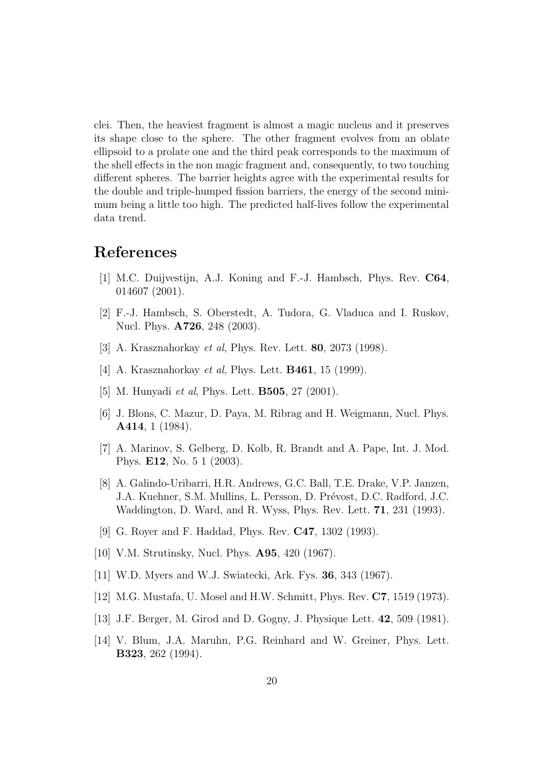<span id="page-19-0"></span>clei. Then, the heaviest fragment is almost a magic nucleus and it preserves its shape close to the sphere. The other fragment evolves from an oblate ellipsoid to a prolate one and the third peak corresponds to the maximum of the shell effects in the non magic fragment and, consequently, to two touching different spheres. The barrier heights agree with the experimental results for the double and triple-humped fission barriers, the energy of the second minimum being a little too high. The predicted half-lives follow the experimental data trend.

# References

- [1] M.C. Duijvestijn, A.J. Koning and F.-J. Hambsch, Phys. Rev. C64, 014607 (2001).
- [2] F.-J. Hambsch, S. Oberstedt, A. Tudora, G. Vladuca and I. Ruskov, Nucl. Phys. A726, 248 (2003).
- [3] A. Krasznahorkay *et al*, Phys. Rev. Lett. **80**, 2073 (1998).
- [4] A. Krasznahorkay *et al*, Phys. Lett. **B461**, 15 (1999).
- [5] M. Hunyadi *et al*, Phys. Lett. **B505**, 27 (2001).
- [6] J. Blons, C. Mazur, D. Paya, M. Ribrag and H. Weigmann, Nucl. Phys. A414, 1 (1984).
- [7] A. Marinov, S. Gelberg, D. Kolb, R. Brandt and A. Pape, Int. J. Mod. Phys. E12, No. 5 1 (2003).
- [8] A. Galindo-Uribarri, H.R. Andrews, G.C. Ball, T.E. Drake, V.P. Janzen, J.A. Kuehner, S.M. Mullins, L. Persson, D. Prévost, D.C. Radford, J.C. Waddington, D. Ward, and R. Wyss, Phys. Rev. Lett. 71, 231 (1993).
- [9] G. Royer and F. Haddad, Phys. Rev. C47, 1302 (1993).
- [10] V.M. Strutinsky, Nucl. Phys. A95, 420 (1967).
- [11] W.D. Myers and W.J. Swiatecki, Ark. Fys. 36, 343 (1967).
- [12] M.G. Mustafa, U. Mosel and H.W. Schmitt, Phys. Rev. C7, 1519 (1973).
- [13] J.F. Berger, M. Girod and D. Gogny, J. Physique Lett. 42, 509 (1981).
- [14] V. Blum, J.A. Maruhn, P.G. Reinhard and W. Greiner, Phys. Lett. B323, 262 (1994).